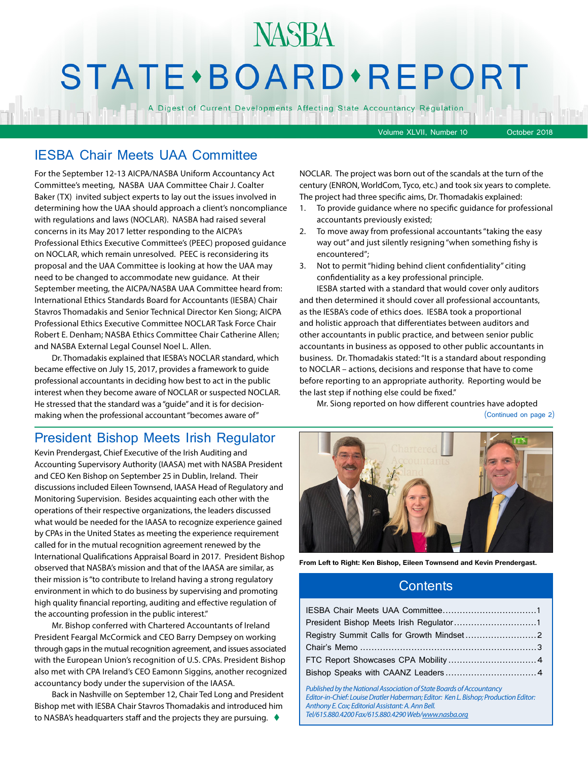## NASBA STATE · BOARD · REPORT

A Digest of Current Developments Affecting State Accountancy Regulation

Volume XLVII, Number 10 October 2018

### IESBA Chair Meets UAA Committee

For the September 12-13 AICPA/NASBA Uniform Accountancy Act Committee's meeting, NASBA UAA Committee Chair J. Coalter Baker (TX) invited subject experts to lay out the issues involved in determining how the UAA should approach a client's noncompliance with regulations and laws (NOCLAR). NASBA had raised several concerns in its May 2017 letter responding to the AICPA's Professional Ethics Executive Committee's (PEEC) proposed guidance on NOCLAR, which remain unresolved. PEEC is reconsidering its proposal and the UAA Committee is looking at how the UAA may need to be changed to accommodate new guidance. At their September meeting, the AICPA/NASBA UAA Committee heard from: International Ethics Standards Board for Accountants (IESBA) Chair Stavros Thomadakis and Senior Technical Director Ken Siong; AICPA Professional Ethics Executive Committee NOCLAR Task Force Chair Robert E. Denham; NASBA Ethics Committee Chair Catherine Allen; and NASBA External Legal Counsel Noel L. Allen.

Dr. Thomadakis explained that IESBA's NOCLAR standard, which became effective on July 15, 2017, provides a framework to guide professional accountants in deciding how best to act in the public interest when they become aware of NOCLAR or suspected NOCLAR. He stressed that the standard was a "guide" and it is for decisionmaking when the professional accountant "becomes aware of"

### President Bishop Meets Irish Regulator

Kevin Prendergast, Chief Executive of the Irish Auditing and Accounting Supervisory Authority (IAASA) met with NASBA President and CEO Ken Bishop on September 25 in Dublin, Ireland. Their discussions included Eileen Townsend, IAASA Head of Regulatory and Monitoring Supervision. Besides acquainting each other with the operations of their respective organizations, the leaders discussed what would be needed for the IAASA to recognize experience gained by CPAs in the United States as meeting the experience requirement called for in the mutual recognition agreement renewed by the International Qualifications Appraisal Board in 2017. President Bishop observed that NASBA's mission and that of the IAASA are similar, as their mission is "to contribute to Ireland having a strong regulatory environment in which to do business by supervising and promoting high quality financial reporting, auditing and effective regulation of the accounting profession in the public interest."

Mr. Bishop conferred with Chartered Accountants of Ireland President Feargal McCormick and CEO Barry Dempsey on working through gaps in the mutual recognition agreement, and issues associated with the European Union's recognition of U.S. CPAs. President Bishop also met with CPA Ireland's CEO Eamonn Siggins, another recognized accountancy body under the supervision of the IAASA.

Back in Nashville on September 12, Chair Ted Long and President Bishop met with IESBA Chair Stavros Thomadakis and introduced him to NASBA's headquarters staff and the projects they are pursuing.  $\blacklozenge$ 

NOCLAR. The project was born out of the scandals at the turn of the century (ENRON, WorldCom, Tyco, etc.) and took six years to complete. The project had three specific aims, Dr. Thomadakis explained:

- 1. To provide guidance where no specific guidance for professional accountants previously existed;
- 2. To move away from professional accountants "taking the easy way out" and just silently resigning "when something fishy is encountered";
- 3. Not to permit "hiding behind client confidentiality" citing confidentiality as a key professional principle.

IESBA started with a standard that would cover only auditors and then determined it should cover all professional accountants, as the IESBA's code of ethics does. IESBA took a proportional and holistic approach that differentiates between auditors and other accountants in public practice, and between senior public accountants in business as opposed to other public accountants in business. Dr. Thomadakis stated: "It is a standard about responding to NOCLAR – actions, decisions and response that have to come before reporting to an appropriate authority. Reporting would be the last step if nothing else could be fixed."

Mr. Siong reported on how different countries have adopted (Continued on page 2)



**From Left to Right: Ken Bishop, Eileen Townsend and Kevin Prendergast.**

### **Contents**

*Published by the National Association of State Boards of Accountancy Editor-in-Chief: Louise Dratler Haberman; Editor: Ken L. Bishop; Production Editor: Anthony E. Cox; Editorial Assistant: A. Ann Bell. Tel/615.880.4200 Fax/615.880.4290 Web[/www.nasba.org](http://www.nasba.org)*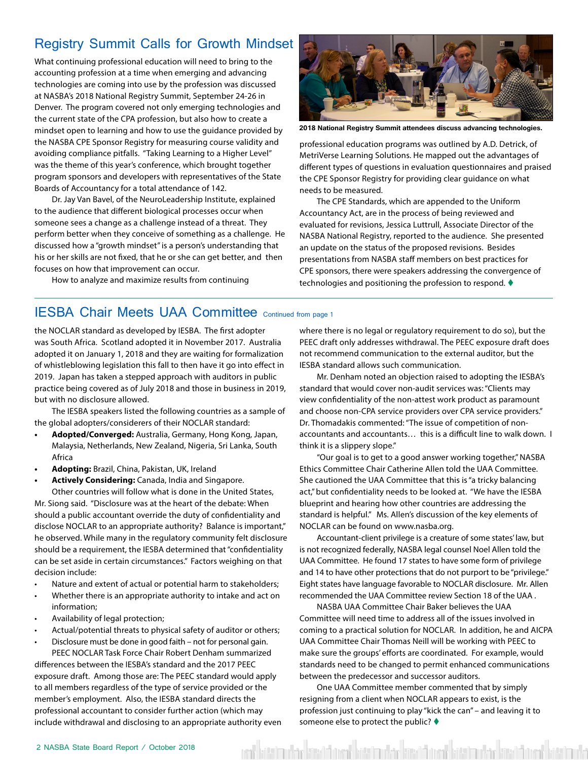### <span id="page-1-0"></span>Registry Summit Calls for Growth Mindset

What continuing professional education will need to bring to the accounting profession at a time when emerging and advancing technologies are coming into use by the profession was discussed at NASBA's 2018 National Registry Summit, September 24-26 in Denver. The program covered not only emerging technologies and the current state of the CPA profession, but also how to create a mindset open to learning and how to use the guidance provided by the NASBA CPE Sponsor Registry for measuring course validity and avoiding compliance pitfalls. "Taking Learning to a Higher Level" was the theme of this year's conference, which brought together program sponsors and developers with representatives of the State Boards of Accountancy for a total attendance of 142.

Dr. Jay Van Bavel, of the NeuroLeadership Institute, explained to the audience that different biological processes occur when someone sees a change as a challenge instead of a threat. They perform better when they conceive of something as a challenge. He discussed how a "growth mindset" is a person's understanding that his or her skills are not fixed, that he or she can get better, and then focuses on how that improvement can occur.

How to analyze and maximize results from continuing



**2018 National Registry Summit attendees discuss advancing technologies.**

professional education programs was outlined by A.D. Detrick, of MetriVerse Learning Solutions. He mapped out the advantages of different types of questions in evaluation questionnaires and praised the CPE Sponsor Registry for providing clear guidance on what needs to be measured.

The CPE Standards, which are appended to the Uniform Accountancy Act, are in the process of being reviewed and evaluated for revisions, Jessica Luttrull, Associate Director of the NASBA National Registry, reported to the audience. She presented an update on the status of the proposed revisions. Besides presentations from NASBA staff members on best practices for CPE sponsors, there were speakers addressing the convergence of technologies and positioning the profession to respond.  $\blacklozenge$ 

### IESBA Chair Meets UAA Committee Continued from page 1

the NOCLAR standard as developed by IESBA. The first adopter was South Africa. Scotland adopted it in November 2017. Australia adopted it on January 1, 2018 and they are waiting for formalization of whistleblowing legislation this fall to then have it go into effect in 2019. Japan has taken a stepped approach with auditors in public practice being covered as of July 2018 and those in business in 2019, but with no disclosure allowed.

The IESBA speakers listed the following countries as a sample of the global adopters/considerers of their NOCLAR standard:

- **• Adopted/Converged:** Australia, Germany, Hong Kong, Japan, Malaysia, Netherlands, New Zealand, Nigeria, Sri Lanka, South Africa
- **• Adopting:** Brazil, China, Pakistan, UK, Ireland
- **• Actively Considering:** Canada, India and Singapore. Other countries will follow what is done in the United States, Mr. Siong said. "Disclosure was at the heart of the debate: When should a public accountant override the duty of confidentiality and disclose NOCLAR to an appropriate authority? Balance is important," he observed. While many in the regulatory community felt disclosure should be a requirement, the IESBA determined that "confidentiality can be set aside in certain circumstances." Factors weighing on that decision include:
- Nature and extent of actual or potential harm to stakeholders;
- Whether there is an appropriate authority to intake and act on information;
- Availability of legal protection;
- Actual/potential threats to physical safety of auditor or others;
- Disclosure must be done in good faith not for personal gain. PEEC NOCLAR Task Force Chair Robert Denham summarized

differences between the IESBA's standard and the 2017 PEEC exposure draft. Among those are: The PEEC standard would apply to all members regardless of the type of service provided or the member's employment. Also, the IESBA standard directs the professional accountant to consider further action (which may include withdrawal and disclosing to an appropriate authority even

where there is no legal or regulatory requirement to do so), but the PEEC draft only addresses withdrawal. The PEEC exposure draft does not recommend communication to the external auditor, but the IESBA standard allows such communication.

Mr. Denham noted an objection raised to adopting the IESBA's standard that would cover non-audit services was: "Clients may view confidentiality of the non-attest work product as paramount and choose non-CPA service providers over CPA service providers." Dr. Thomadakis commented: "The issue of competition of nonaccountants and accountants… this is a difficult line to walk down. I think it is a slippery slope."

"Our goal is to get to a good answer working together," NASBA Ethics Committee Chair Catherine Allen told the UAA Committee. She cautioned the UAA Committee that this is "a tricky balancing act," but confidentiality needs to be looked at. "We have the IESBA blueprint and hearing how other countries are addressing the standard is helpful." Ms. Allen's discussion of the key elements of NOCLAR can be found on www.nasba.org.

Accountant-client privilege is a creature of some states' law, but is not recognized federally, NASBA legal counsel Noel Allen told the UAA Committee. He found 17 states to have some form of privilege and 14 to have other protections that do not purport to be "privilege." Eight states have language favorable to NOCLAR disclosure. Mr. Allen recommended the UAA Committee review Section 18 of the UAA .

NASBA UAA Committee Chair Baker believes the UAA Committee will need time to address all of the issues involved in coming to a practical solution for NOCLAR. In addition, he and AICPA UAA Committee Chair Thomas Neill will be working with PEEC to make sure the groups' efforts are coordinated. For example, would standards need to be changed to permit enhanced communications between the predecessor and successor auditors.

One UAA Committee member commented that by simply resigning from a client when NOCLAR appears to exist, is the profession just continuing to play "kick the can" – and leaving it to someone else to protect the public?  $\blacklozenge$ 

is bular kiwidumi kitab dar kiwidumi ki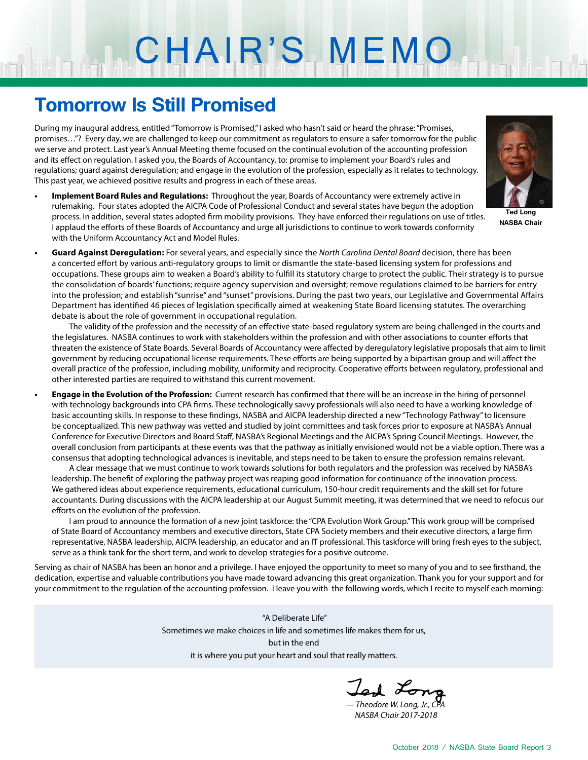# CHAIR'S MEMO

### **Tomorrow Is Still Promised**

During my inaugural address, entitled "Tomorrow is Promised," I asked who hasn't said or heard the phrase: "Promises, promises…"? Every day, we are challenged to keep our commitment as regulators to ensure a safer tomorrow for the public we serve and protect. Last year's Annual Meeting theme focused on the continual evolution of the accounting profession and its effect on regulation. I asked you, the Boards of Accountancy, to: promise to implement your Board's rules and regulations; guard against deregulation; and engage in the evolution of the profession, especially as it relates to technology. This past year, we achieved positive results and progress in each of these areas.





**Ted Long NASBA Chair**

**• Guard Against Deregulation:** For several years, and especially since the *North Carolina Dental Board* decision, there has been a concerted effort by various anti-regulatory groups to limit or dismantle the state-based licensing system for professions and occupations. These groups aim to weaken a Board's ability to fulfill its statutory charge to protect the public. Their strategy is to pursue the consolidation of boards' functions; require agency supervision and oversight; remove regulations claimed to be barriers for entry into the profession; and establish "sunrise" and "sunset" provisions. During the past two years, our Legislative and Governmental Affairs Department has identified 46 pieces of legislation specifically aimed at weakening State Board licensing statutes. The overarching debate is about the role of government in occupational regulation.

The validity of the profession and the necessity of an effective state-based regulatory system are being challenged in the courts and the legislatures. NASBA continues to work with stakeholders within the profession and with other associations to counter efforts that threaten the existence of State Boards. Several Boards of Accountancy were affected by deregulatory legislative proposals that aim to limit government by reducing occupational license requirements. These efforts are being supported by a bipartisan group and will affect the overall practice of the profession, including mobility, uniformity and reciprocity. Cooperative efforts between regulatory, professional and other interested parties are required to withstand this current movement.

**• Engage in the Evolution of the Profession:** Current research has confirmed that there will be an increase in the hiring of personnel with technology backgrounds into CPA firms. These technologically savvy professionals will also need to have a working knowledge of basic accounting skills. In response to these findings, NASBA and AICPA leadership directed a new "Technology Pathway" to licensure be conceptualized. This new pathway was vetted and studied by joint committees and task forces prior to exposure at NASBA's Annual Conference for Executive Directors and Board Staff, NASBA's Regional Meetings and the AICPA's Spring Council Meetings. However, the overall conclusion from participants at these events was that the pathway as initially envisioned would not be a viable option. There was a consensus that adopting technological advances is inevitable, and steps need to be taken to ensure the profession remains relevant.

A clear message that we must continue to work towards solutions for both regulators and the profession was received by NASBA's leadership. The benefit of exploring the pathway project was reaping good information for continuance of the innovation process. We gathered ideas about experience requirements, educational curriculum, 150-hour credit requirements and the skill set for future accountants. During discussions with the AICPA leadership at our August Summit meeting, it was determined that we need to refocus our efforts on the evolution of the profession.

I am proud to announce the formation of a new joint taskforce: the "CPA Evolution Work Group." This work group will be comprised of State Board of Accountancy members and executive directors, State CPA Society members and their executive directors, a large firm representative, NASBA leadership, AICPA leadership, an educator and an IT professional. This taskforce will bring fresh eyes to the subject, serve as a think tank for the short term, and work to develop strategies for a positive outcome.

Serving as chair of NASBA has been an honor and a privilege. I have enjoyed the opportunity to meet so many of you and to see firsthand, the dedication, expertise and valuable contributions you have made toward advancing this great organization. Thank you for your support and for your commitment to the regulation of the accounting profession. I leave you with the following words, which I recite to myself each morning:

> "A Deliberate Life" Sometimes we make choices in life and sometimes life makes them for us, but in the end it is where you put your heart and soul that really matters.

and  $\chi$ 

 *— Theodore W. Long, Jr., CPA NASBA Chair 2017-2018*